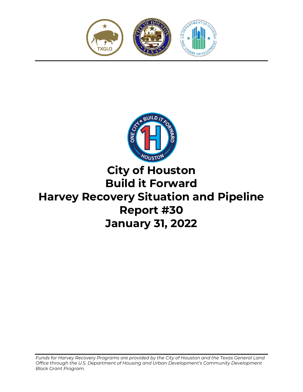



# **City of Houston Build it Forward Harvey Recovery Situation and Pipeline Report #30 January 31, 2022**

*Funds for Harvey Recovery Programs are provided by the City of Houston and the Texas General Land Office through the U.S. Department of Housing and Urban Development's Community Development Block Grant Program.*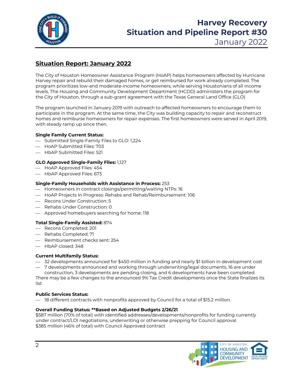

# **Harvey Recovery Situation and Pipeline Report #30**

January 2022

# **Situation Report: January 2022**

The City of Houston Homeowner Assistance Program (HoAP) helps homeowners affected by Hurricane Harvey repair and rebuild their damaged homes, or get reimbursed for work already completed. The program prioritizes low-and moderate-income homeowners, while serving Houstonians of all income levels. The Housing and Community Development Department (HCDD) administers the program for the City of Houston, through a sub-grant agreement with the Texas General Land Office (GLO)

The program launched in January 2019 with outreach to affected homeowners to encourage them to participate in the program. At the same time, the City was building capacity to repair and reconstruct homes and reimburse homeowners for repair expenses. The first homeowners were served in April 2019, with steady ramp up since then.

#### **Single Family Current Status:**

- Submitted Single-Family Files to GLO: 1,224
- HoAP Submitted Files: 703
- HbAP Submitted Files: 521

#### **GLO Approved Single-Family Files:** 1,127

- HoAP Approved Files: 454
- $-$  HbAP Approved Files: 673

#### **Single-Family Households with Assistance in Process:** 253

- $-$  Homeowners in contract closings/permitting/waiting NTPs: 16
- HoAP Projects In Progress: Rehabs and Rehab/Reimbursement: 106
- Recons Under Construction: 5
- $-$  Rehabs Under Construction: 0
- Approved homebuyers searching for home: 118

#### **Total Single-Family Assisted:** 874

- Recons Completed: 201
- Rehabs Completed: 71
- Reimbursement checks sent: 254
- $-$  HbAP closed: 348

#### **Current Multifamily Status:**

- 32 developments announced for \$450 million in funding and nearly \$1 billion in development cost
- 7 developments announced and working through underwriting/legal documents, 16 are under construction, 3 developments are pending closing, and 6 developments have been completed

There may be a few changes to the announced 9% Tax Credit developments once the State finalizes its list

#### **Public Services Status:**

 $-$  18 different contracts with nonprofits approved by Council for a total of \$15.2 million.

#### **Overall Funding Status: \*\*Based on Adjusted Budgets 2/26/21**

\$587 million (70% of total) with identified addresses/developments/nonprofits for funding currently under contract/LOI negotiations, underwriting or otherwise prepping for Council approval. \$385 million (46% of total) with Council Approved contract

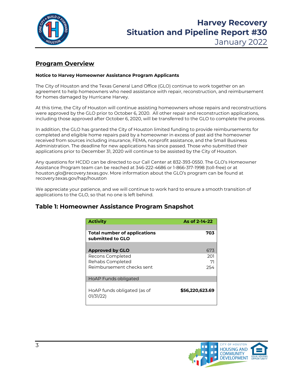

# **Harvey Recovery Situation and Pipeline Report #30**

January 2022

### **Program Overview**

#### **Notice to Harvey Homeowner Assistance Program Applicants**

The City of Houston and the Texas General Land Office (GLO) continue to work together on an agreement to help homeowners who need assistance with repair, reconstruction, and reimbursement for homes damaged by Hurricane Harvey.

At this time, the City of Houston will continue assisting homeowners whose repairs and reconstructions were approved by the GLO prior to October 6, 2020. All other repair and reconstruction applications, including those approved after October 6, 2020, will be transferred to the GLO to complete the process.

In addition, the GLO has granted the City of Houston limited funding to provide reimbursements for completed and eligible home repairs paid by a homeowner in excess of past aid the homeowner received from sources including insurance, FEMA, nonprofit assistance, and the Small Business Administration. The deadline for new applications has since passed. Those who submitted their applications prior to December 31, 2020 will continue to be assisted by the City of Houston.

Any questions for HCDD can be directed to our Call Center at 832-393-0550. The GLO's Homeowner Assistance Program team can be reached at 346-222-4686 or 1-866-317-1998 (toll-free) or at houston.glo@recovery.texas.gov. More information about the GLO's program can be found at recovery.texas.gov/hap/houston

We appreciate your patience, and we will continue to work hard to ensure a smooth transition of applications to the GLO, so that no one is left behind.

### **Table 1: Homeowner Assistance Program Snapshot**

| <b>Activity</b>                                  | As of 2-14-22   |
|--------------------------------------------------|-----------------|
| Total number of applications<br>submitted to GLO | 703             |
| <b>Approved by GLO</b>                           | 673             |
| Recons Completed<br>Rehabs Completed             | 201<br>71       |
| Reimbursement checks sent                        | 254             |
| HoAP Funds obligated                             |                 |
| HoAP funds obligated (as of<br>01/31/22)         | \$56,220,623.69 |

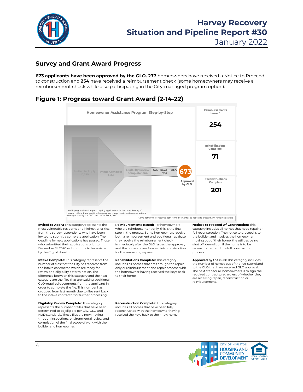

January 2022

#### **Survey and Grant Award Progress**

**673 applicants have been approved by the GLO. 277** homeowners have received a Notice to Proceed to construction and **254** have received a reimbursement check (some homeowners may receive a reimbursement check while also participating in the City-managed program option).

#### **Figure 1: Progress toward Grant Award (2-14-22)**



**Invited to Apply:** This category represents the most vulnerable residents and highest priorities from the survey respondents who have been invited to submit a complete application. The deadline for new applications has passed. Those who submitted their applications prior to December 31, 2020 will continue to be assisted by the City of Houston.

**Intake Complete:** This category represents the number of files that the City has received from the intake contractor, which are ready for review and eligibility determination. The difference between this category and the next category are the files that are waiting additional GLO-required documents from the applicant in order to complete the file. This number has dropped from last month due to files sent back to the intake contractor for further processing.

**Eligibility Review Complete:** This category represents the number of files that have been determined to be eligible per City, GLO and HUD standards. These files are now moving through inspections, environmental review and completion of the final scope of work with the builder and homeowner.

**Reimbursements Issued:** For homeowners who are reimbursement only, this is the final step in the process. Some homeowners receive both a reimbursement and additional repair, so they receive the reimbursement check immediately after the GLO issues the approval, and the home moves forward into construction for the remaining repairs.

**Rehabilitations Complete:** This category includes all homes that are through the repair only or reimbursement and repair process, with the homeowner having received the keys back to their home.

**Reconstruction Complete:** This category includes all homes that have been fully reconstructed with the homeowner having received the keys back to their new home.

**Notices to Proceed w/ Construction:** This category includes all homes that need repair or full reconstruction. The notice to proceed is to the builder, and involves the homeowner moving out of their home, the utilities being shut off, demolition if the home is to be reconstructed, and the full construction process.

**Approved by the GLO:** This category includes the number of homes out of the 703 submitted to the GLO that have received GLO approval. The next step for all homeowners is to sign the required contracts, regardless of whether they are receiving repair, reconstruction or reimbursement.

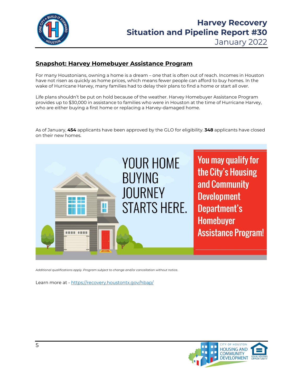

# January 2022

## **Snapshot: Harvey Homebuyer Assistance Program**

For many Houstonians, owning a home is a dream – one that is often out of reach. Incomes in Houston have not risen as quickly as home prices, which means fewer people can afford to buy homes. In the wake of Hurricane Harvey, many families had to delay their plans to find a home or start all over.

Life plans shouldn't be put on hold because of the weather. Harvey Homebuyer Assistance Program provides up to \$30,000 in assistance to families who were in Houston at the time of Hurricane Harvey, who are either buying a first home or replacing a Harvey-damaged home.

As of January, **454** applicants have been approved by the GLO for eligibility. **348** applicants have closed on their new homes.



*Additional qualifications apply. Program subject to change and/or cancellation without notice.* 

Learn more at - <https://recovery.houstontx.gov/hbap/>

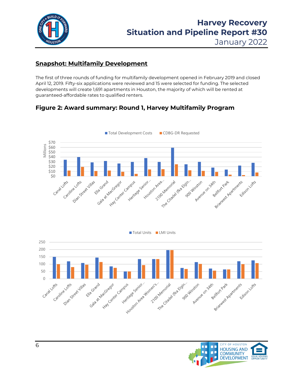

January 2022

# **Snapshot: Multifamily Development**

The first of three rounds of funding for multifamily development opened in February 2019 and closed April 12, 2019. Fifty-six applications were reviewed and 15 were selected for funding. The selected developments will create 1,691 apartments in Houston, the majority of which will be rented at guaranteed-affordable rates to qualified renters.

# **Figure 2: Award summary: Round 1, Harvey Multifamily Program**



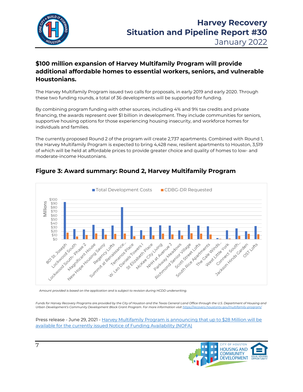

# **\$100 million expansion of Harvey Multifamily Program will provide additional affordable homes to essential workers, seniors, and vulnerable Houstonians.**

The Harvey Multifamily Program issued two calls for proposals, in early 2019 and early 2020. Through these two funding rounds, a total of 36 developments will be supported for funding.

By combining program funding with other sources, including 4% and 9% tax credits and private financing, the awards represent over \$1 billion in development. They include communities for seniors, supportive housing options for those experiencing housing insecurity, and workforce homes for individuals and families.

The currently proposed Round 2 of the program will create 2,737 apartments. Combined with Round 1, the Harvey Multifamily Program is expected to bring 4,428 new, resilient apartments to Houston, 3,519 of which will be held at affordable prices to provide greater choice and quality of homes to low- and moderate-income Houstonians.



# **Figure 3: Award summary: Round 2, Harvey Multifamily Program**

*Amount provided is based on the application and is subject to revision during HCDD underwriting.*

Funds for Harvey Recovery Programs are provided by the City of Houston and the Texas General Land Office through the U.S. Department of Housing and *Urban Development's Community Development Block Grant Program. For more information visi[t https://recovery.houstontx.gov/multifamily-program/](https://recovery.houstontx.gov/multifamily-program/)*

Press release - June 29, 2021 - [Harvey Multifamily Program is announcing that up to \\$28 Million will be](https://recovery.houstontx.gov/harvey-multifamily-program-is-announcing-that-up-to-28-million-will-be-available-for-the-currently-issued-notice-of-funding-availability-nofa/)  [available for the currently issued Notice of Funding Availability \(NOFA\)](https://recovery.houstontx.gov/harvey-multifamily-program-is-announcing-that-up-to-28-million-will-be-available-for-the-currently-issued-notice-of-funding-availability-nofa/)

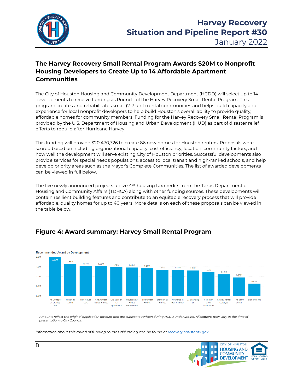

# **The Harvey Recovery Small Rental Program Awards \$20M to Nonprofit Housing Developers to Create Up to 14 Affordable Apartment Communities**

The City of Houston Housing and Community Development Department (HCDD) will select up to 14 developments to receive funding as Round 1 of the Harvey Recovery Small Rental Program. This program creates and rehabilitates small (2-7 unit) rental communities and helps build capacity and experience for local nonprofit developers to help build Houston's overall ability to provide quality, affordable homes for community members. Funding for the Harvey Recovery Small Rental Program is provided by the U.S. Department of Housing and Urban Development (HUD) as part of disaster relief efforts to rebuild after Hurricane Harvey.

This funding will provide \$20,470,326 to create 86 new homes for Houston renters. Proposals were scored based on including organizational capacity, cost efficiency, location, community factors, and how well the development will serve existing City of Houston priorities. Successful developments also provide services for special needs populations, access to local transit and high-ranked schools, and help develop priority areas such as the Mayor's Complete Communities. The list of awarded developments can be viewed in full below.

The five newly announced projects utilize 4% housing tax credits from the Texas Department of Housing and Community Affairs (TDHCA) along with other funding sources. These developments will contain resilient building features and contribute to an equitable recovery process that will provide affordable, quality homes for up to 40 years. More details on each of these proposals can be viewed in the table below.

## **Figure 4: Award summary: Harvey Small Rental Program**



*Amounts reflect the original application amount and are subject to revision during HCDD underwriting. Allocations may vary at the time of presentation to City Council.*

*Information about this round of funding rounds of funding can be found a[t recovery.houstontx.gov](https://recovery.houstontx.gov/hsrp/)*